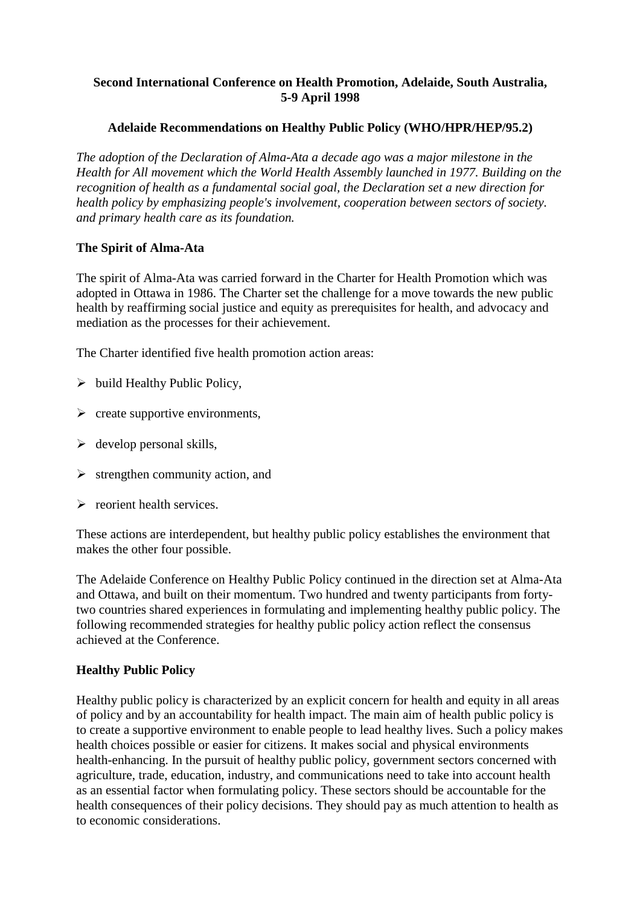## **Second International Conference on Health Promotion, Adelaide, South Australia, 5-9 April 1998**

## **Adelaide Recommendations on Healthy Public Policy (WHO/HPR/HEP/95.2)**

*The adoption of the Declaration of Alma-Ata a decade ago was a major milestone in the Health for All movement which the World Health Assembly launched in 1977. Building on the recognition of health as a fundamental social goal, the Declaration set a new direction for health policy by emphasizing people's involvement, cooperation between sectors of society. and primary health care as its foundation.*

## **The Spirit of Alma-Ata**

The spirit of Alma-Ata was carried forward in the Charter for Health Promotion which was adopted in Ottawa in 1986. The Charter set the challenge for a move towards the new public health by reaffirming social justice and equity as prerequisites for health, and advocacy and mediation as the processes for their achievement.

The Charter identified five health promotion action areas:

- $\triangleright$  build Healthy Public Policy,
- $\triangleright$  create supportive environments,
- $\triangleright$  develop personal skills,
- $\triangleright$  strengthen community action, and
- $\triangleright$  reorient health services

These actions are interdependent, but healthy public policy establishes the environment that makes the other four possible.

The Adelaide Conference on Healthy Public Policy continued in the direction set at Alma-Ata and Ottawa, and built on their momentum. Two hundred and twenty participants from fortytwo countries shared experiences in formulating and implementing healthy public policy. The following recommended strategies for healthy public policy action reflect the consensus achieved at the Conference.

# **Healthy Public Policy**

Healthy public policy is characterized by an explicit concern for health and equity in all areas of policy and by an accountability for health impact. The main aim of health public policy is to create a supportive environment to enable people to lead healthy lives. Such a policy makes health choices possible or easier for citizens. It makes social and physical environments health-enhancing. In the pursuit of healthy public policy, government sectors concerned with agriculture, trade, education, industry, and communications need to take into account health as an essential factor when formulating policy. These sectors should be accountable for the health consequences of their policy decisions. They should pay as much attention to health as to economic considerations.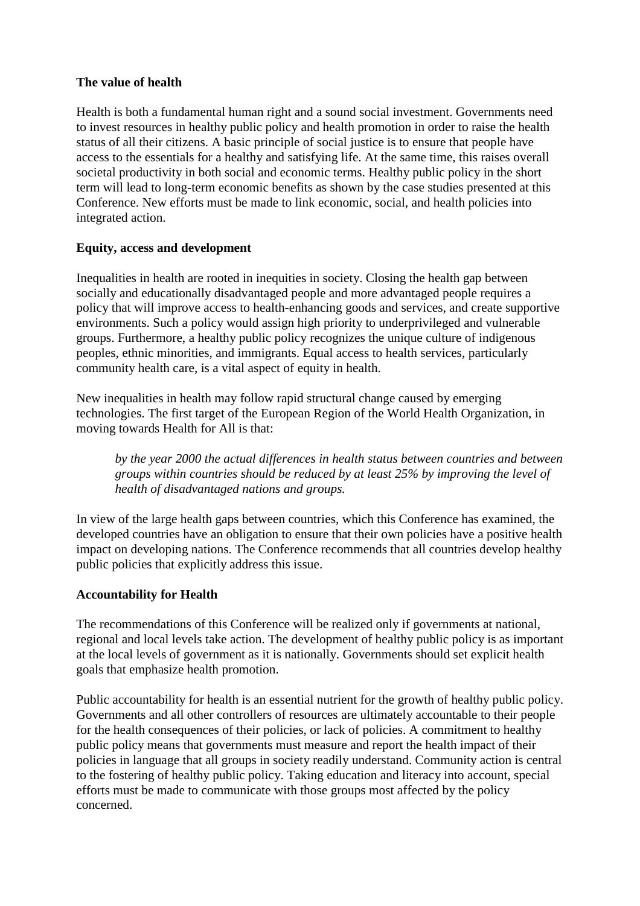### **The value of health**

Health is both a fundamental human right and a sound social investment. Governments need to invest resources in healthy public policy and health promotion in order to raise the health status of all their citizens. A basic principle of social justice is to ensure that people have access to the essentials for a healthy and satisfying life. At the same time, this raises overall societal productivity in both social and economic terms. Healthy public policy in the short term will lead to long-term economic benefits as shown by the case studies presented at this Conference. New efforts must be made to link economic, social, and health policies into integrated action.

### **Equity, access and development**

Inequalities in health are rooted in inequities in society. Closing the health gap between socially and educationally disadvantaged people and more advantaged people requires a policy that will improve access to health-enhancing goods and services, and create supportive environments. Such a policy would assign high priority to underprivileged and vulnerable groups. Furthermore, a healthy public policy recognizes the unique culture of indigenous peoples, ethnic minorities, and immigrants. Equal access to health services, particularly community health care, is a vital aspect of equity in health.

New inequalities in health may follow rapid structural change caused by emerging technologies. The first target of the European Region of the World Health Organization, in moving towards Health for All is that:

*by the year 2000 the actual differences in health status between countries and between groups within countries should be reduced by at least 25% by improving the level of health of disadvantaged nations and groups.*

In view of the large health gaps between countries, which this Conference has examined, the developed countries have an obligation to ensure that their own policies have a positive health impact on developing nations. The Conference recommends that all countries develop healthy public policies that explicitly address this issue.

## **Accountability for Health**

The recommendations of this Conference will be realized only if governments at national, regional and local levels take action. The development of healthy public policy is as important at the local levels of government as it is nationally. Governments should set explicit health goals that emphasize health promotion.

Public accountability for health is an essential nutrient for the growth of healthy public policy. Governments and all other controllers of resources are ultimately accountable to their people for the health consequences of their policies, or lack of policies. A commitment to healthy public policy means that governments must measure and report the health impact of their policies in language that all groups in society readily understand. Community action is central to the fostering of healthy public policy. Taking education and literacy into account, special efforts must be made to communicate with those groups most affected by the policy concerned.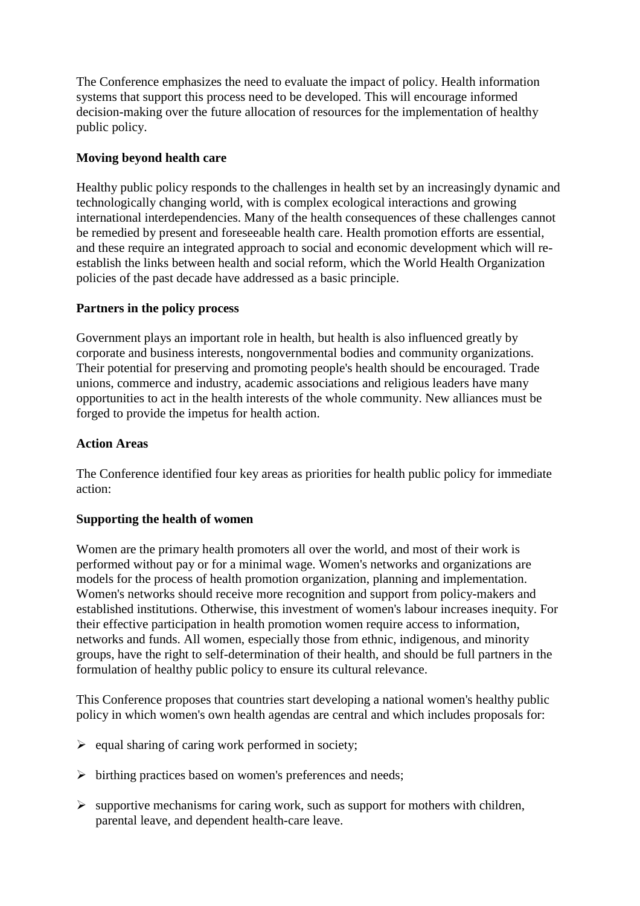The Conference emphasizes the need to evaluate the impact of policy. Health information systems that support this process need to be developed. This will encourage informed decision-making over the future allocation of resources for the implementation of healthy public policy.

### **Moving beyond health care**

Healthy public policy responds to the challenges in health set by an increasingly dynamic and technologically changing world, with is complex ecological interactions and growing international interdependencies. Many of the health consequences of these challenges cannot be remedied by present and foreseeable health care. Health promotion efforts are essential, and these require an integrated approach to social and economic development which will reestablish the links between health and social reform, which the World Health Organization policies of the past decade have addressed as a basic principle.

### **Partners in the policy process**

Government plays an important role in health, but health is also influenced greatly by corporate and business interests, nongovernmental bodies and community organizations. Their potential for preserving and promoting people's health should be encouraged. Trade unions, commerce and industry, academic associations and religious leaders have many opportunities to act in the health interests of the whole community. New alliances must be forged to provide the impetus for health action.

### **Action Areas**

The Conference identified four key areas as priorities for health public policy for immediate action:

### **Supporting the health of women**

Women are the primary health promoters all over the world, and most of their work is performed without pay or for a minimal wage. Women's networks and organizations are models for the process of health promotion organization, planning and implementation. Women's networks should receive more recognition and support from policy-makers and established institutions. Otherwise, this investment of women's labour increases inequity. For their effective participation in health promotion women require access to information, networks and funds. All women, especially those from ethnic, indigenous, and minority groups, have the right to self-determination of their health, and should be full partners in the formulation of healthy public policy to ensure its cultural relevance.

This Conference proposes that countries start developing a national women's healthy public policy in which women's own health agendas are central and which includes proposals for:

- $\triangleright$  equal sharing of caring work performed in society;
- $\triangleright$  birthing practices based on women's preferences and needs;
- $\triangleright$  supportive mechanisms for caring work, such as support for mothers with children, parental leave, and dependent health-care leave.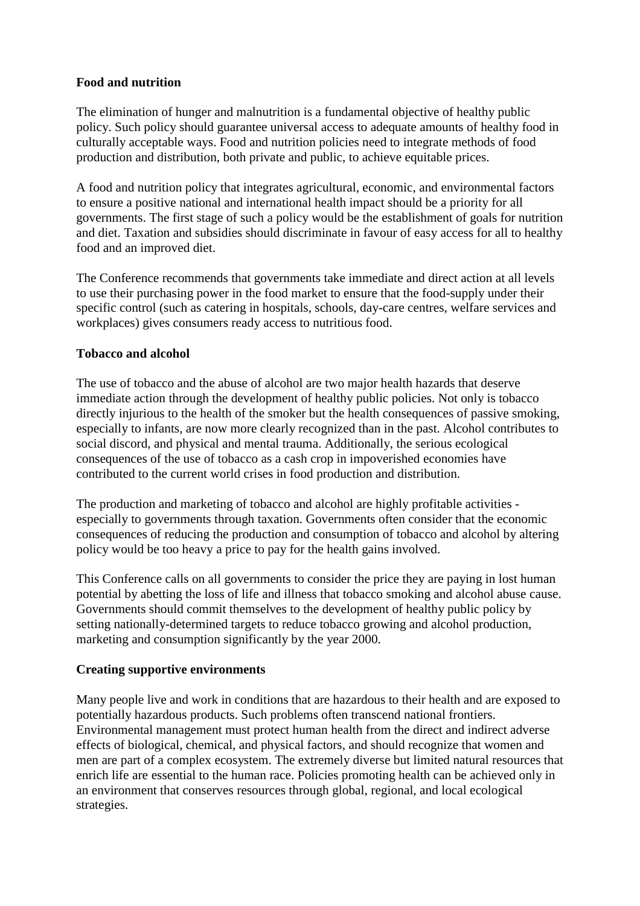### **Food and nutrition**

The elimination of hunger and malnutrition is a fundamental objective of healthy public policy. Such policy should guarantee universal access to adequate amounts of healthy food in culturally acceptable ways. Food and nutrition policies need to integrate methods of food production and distribution, both private and public, to achieve equitable prices.

A food and nutrition policy that integrates agricultural, economic, and environmental factors to ensure a positive national and international health impact should be a priority for all governments. The first stage of such a policy would be the establishment of goals for nutrition and diet. Taxation and subsidies should discriminate in favour of easy access for all to healthy food and an improved diet.

The Conference recommends that governments take immediate and direct action at all levels to use their purchasing power in the food market to ensure that the food-supply under their specific control (such as catering in hospitals, schools, day-care centres, welfare services and workplaces) gives consumers ready access to nutritious food.

### **Tobacco and alcohol**

The use of tobacco and the abuse of alcohol are two major health hazards that deserve immediate action through the development of healthy public policies. Not only is tobacco directly injurious to the health of the smoker but the health consequences of passive smoking, especially to infants, are now more clearly recognized than in the past. Alcohol contributes to social discord, and physical and mental trauma. Additionally, the serious ecological consequences of the use of tobacco as a cash crop in impoverished economies have contributed to the current world crises in food production and distribution.

The production and marketing of tobacco and alcohol are highly profitable activities especially to governments through taxation. Governments often consider that the economic consequences of reducing the production and consumption of tobacco and alcohol by altering policy would be too heavy a price to pay for the health gains involved.

This Conference calls on all governments to consider the price they are paying in lost human potential by abetting the loss of life and illness that tobacco smoking and alcohol abuse cause. Governments should commit themselves to the development of healthy public policy by setting nationally-determined targets to reduce tobacco growing and alcohol production, marketing and consumption significantly by the year 2000.

### **Creating supportive environments**

Many people live and work in conditions that are hazardous to their health and are exposed to potentially hazardous products. Such problems often transcend national frontiers. Environmental management must protect human health from the direct and indirect adverse effects of biological, chemical, and physical factors, and should recognize that women and men are part of a complex ecosystem. The extremely diverse but limited natural resources that enrich life are essential to the human race. Policies promoting health can be achieved only in an environment that conserves resources through global, regional, and local ecological strategies.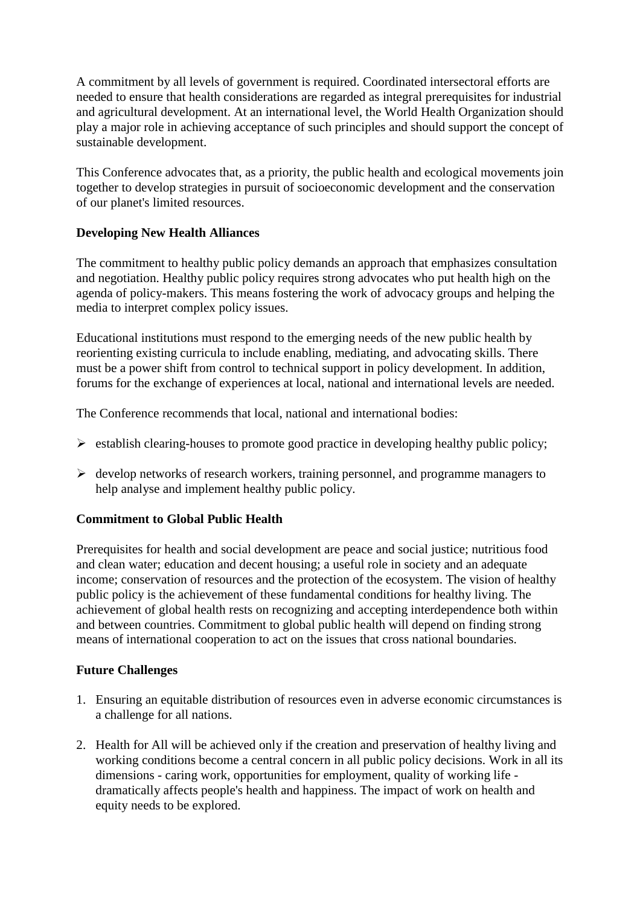A commitment by all levels of government is required. Coordinated intersectoral efforts are needed to ensure that health considerations are regarded as integral prerequisites for industrial and agricultural development. At an international level, the World Health Organization should play a major role in achieving acceptance of such principles and should support the concept of sustainable development.

This Conference advocates that, as a priority, the public health and ecological movements join together to develop strategies in pursuit of socioeconomic development and the conservation of our planet's limited resources.

## **Developing New Health Alliances**

The commitment to healthy public policy demands an approach that emphasizes consultation and negotiation. Healthy public policy requires strong advocates who put health high on the agenda of policy-makers. This means fostering the work of advocacy groups and helping the media to interpret complex policy issues.

Educational institutions must respond to the emerging needs of the new public health by reorienting existing curricula to include enabling, mediating, and advocating skills. There must be a power shift from control to technical support in policy development. In addition, forums for the exchange of experiences at local, national and international levels are needed.

The Conference recommends that local, national and international bodies:

- $\triangleright$  establish clearing-houses to promote good practice in developing healthy public policy;
- $\triangleright$  develop networks of research workers, training personnel, and programme managers to help analyse and implement healthy public policy.

## **Commitment to Global Public Health**

Prerequisites for health and social development are peace and social justice; nutritious food and clean water; education and decent housing; a useful role in society and an adequate income; conservation of resources and the protection of the ecosystem. The vision of healthy public policy is the achievement of these fundamental conditions for healthy living. The achievement of global health rests on recognizing and accepting interdependence both within and between countries. Commitment to global public health will depend on finding strong means of international cooperation to act on the issues that cross national boundaries.

## **Future Challenges**

- 1. Ensuring an equitable distribution of resources even in adverse economic circumstances is a challenge for all nations.
- 2. Health for All will be achieved only if the creation and preservation of healthy living and working conditions become a central concern in all public policy decisions. Work in all its dimensions - caring work, opportunities for employment, quality of working life dramatically affects people's health and happiness. The impact of work on health and equity needs to be explored.